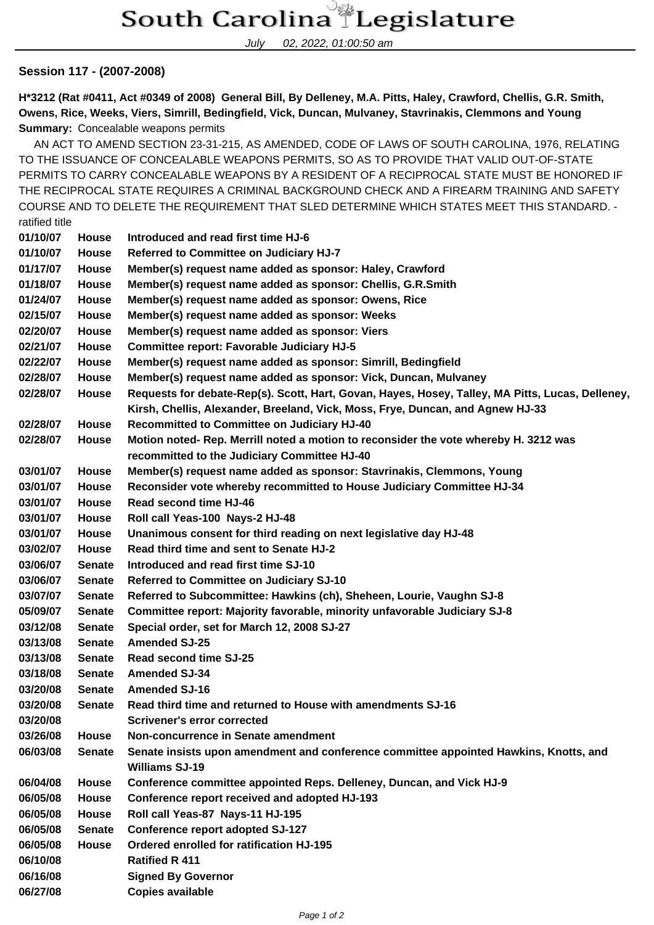July 02, 2022, 01:00:50 am

## **Session 117 - (2007-2008)**

**H\*3212 (Rat #0411, Act #0349 of 2008) General Bill, By Delleney, M.A. Pitts, Haley, Crawford, Chellis, G.R. Smith, Owens, Rice, Weeks, Viers, Simrill, Bedingfield, Vick, Duncan, Mulvaney, Stavrinakis, Clemmons and Young Summary:** Concealable weapons permits

 AN ACT TO AMEND SECTION 23-31-215, AS AMENDED, CODE OF LAWS OF SOUTH CAROLINA, 1976, RELATING TO THE ISSUANCE OF CONCEALABLE WEAPONS PERMITS, SO AS TO PROVIDE THAT VALID OUT-OF-STATE PERMITS TO CARRY CONCEALABLE WEAPONS BY A RESIDENT OF A RECIPROCAL STATE MUST BE HONORED IF THE RECIPROCAL STATE REQUIRES A CRIMINAL BACKGROUND CHECK AND A FIREARM TRAINING AND SAFETY COURSE AND TO DELETE THE REQUIREMENT THAT SLED DETERMINE WHICH STATES MEET THIS STANDARD. ratified title

| 01/10/07 | <b>House</b>  | Introduced and read first time HJ-6                                                              |
|----------|---------------|--------------------------------------------------------------------------------------------------|
| 01/10/07 | House         | Referred to Committee on Judiciary HJ-7                                                          |
| 01/17/07 | House         | Member(s) request name added as sponsor: Haley, Crawford                                         |
| 01/18/07 | House         | Member(s) request name added as sponsor: Chellis, G.R.Smith                                      |
| 01/24/07 | <b>House</b>  | Member(s) request name added as sponsor: Owens, Rice                                             |
| 02/15/07 | House         | Member(s) request name added as sponsor: Weeks                                                   |
| 02/20/07 | House         | Member(s) request name added as sponsor: Viers                                                   |
| 02/21/07 | House         | <b>Committee report: Favorable Judiciary HJ-5</b>                                                |
| 02/22/07 | House         | Member(s) request name added as sponsor: Simrill, Bedingfield                                    |
| 02/28/07 | <b>House</b>  | Member(s) request name added as sponsor: Vick, Duncan, Mulvaney                                  |
| 02/28/07 | <b>House</b>  | Requests for debate-Rep(s). Scott, Hart, Govan, Hayes, Hosey, Talley, MA Pitts, Lucas, Delleney, |
|          |               | Kirsh, Chellis, Alexander, Breeland, Vick, Moss, Frye, Duncan, and Agnew HJ-33                   |
| 02/28/07 | <b>House</b>  | Recommitted to Committee on Judiciary HJ-40                                                      |
| 02/28/07 | House         | Motion noted- Rep. Merrill noted a motion to reconsider the vote whereby H. 3212 was             |
|          |               | recommitted to the Judiciary Committee HJ-40                                                     |
| 03/01/07 | <b>House</b>  | Member(s) request name added as sponsor: Stavrinakis, Clemmons, Young                            |
| 03/01/07 | House         | Reconsider vote whereby recommitted to House Judiciary Committee HJ-34                           |
| 03/01/07 | <b>House</b>  | Read second time HJ-46                                                                           |
| 03/01/07 | House         | Roll call Yeas-100 Nays-2 HJ-48                                                                  |
| 03/01/07 | House         | Unanimous consent for third reading on next legislative day HJ-48                                |
| 03/02/07 | <b>House</b>  | Read third time and sent to Senate HJ-2                                                          |
| 03/06/07 | <b>Senate</b> | Introduced and read first time SJ-10                                                             |
| 03/06/07 | <b>Senate</b> | <b>Referred to Committee on Judiciary SJ-10</b>                                                  |
| 03/07/07 | <b>Senate</b> | Referred to Subcommittee: Hawkins (ch), Sheheen, Lourie, Vaughn SJ-8                             |
| 05/09/07 | <b>Senate</b> | Committee report: Majority favorable, minority unfavorable Judiciary SJ-8                        |
| 03/12/08 | <b>Senate</b> | Special order, set for March 12, 2008 SJ-27                                                      |
| 03/13/08 | <b>Senate</b> | <b>Amended SJ-25</b>                                                                             |
| 03/13/08 | <b>Senate</b> | <b>Read second time SJ-25</b>                                                                    |
| 03/18/08 | <b>Senate</b> | <b>Amended SJ-34</b>                                                                             |
| 03/20/08 | <b>Senate</b> | <b>Amended SJ-16</b>                                                                             |
| 03/20/08 | <b>Senate</b> | Read third time and returned to House with amendments SJ-16                                      |
| 03/20/08 |               | <b>Scrivener's error corrected</b>                                                               |
| 03/26/08 | House         | Non-concurrence in Senate amendment                                                              |
| 06/03/08 | <b>Senate</b> | Senate insists upon amendment and conference committee appointed Hawkins, Knotts, and            |
|          |               | <b>Williams SJ-19</b>                                                                            |
| 06/04/08 | House         | Conference committee appointed Reps. Delleney, Duncan, and Vick HJ-9                             |
| 06/05/08 | House         | Conference report received and adopted HJ-193                                                    |
| 06/05/08 | House         | Roll call Yeas-87 Nays-11 HJ-195                                                                 |
| 06/05/08 | <b>Senate</b> | <b>Conference report adopted SJ-127</b>                                                          |
| 06/05/08 | House         | Ordered enrolled for ratification HJ-195                                                         |
| 06/10/08 |               | <b>Ratified R 411</b>                                                                            |
| 06/16/08 |               | <b>Signed By Governor</b>                                                                        |
| 06/27/08 |               | <b>Copies available</b>                                                                          |